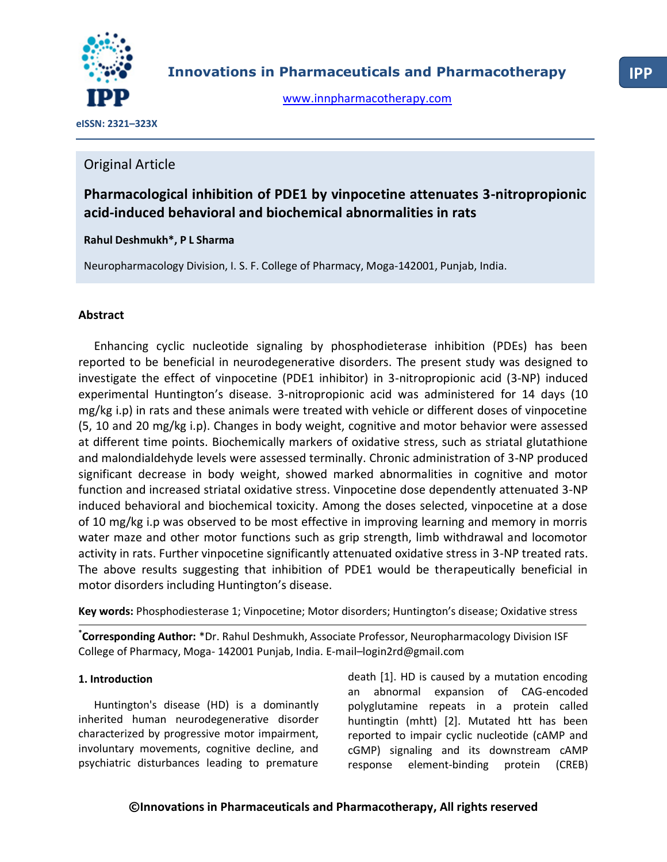

[www.innpharmacotherapy.com](http://www.innpharmacotherapy.com/)

 **eISSN: 2321–323X**

# Original Article

# **Pharmacological inhibition of PDE1 by vinpocetine attenuates 3-nitropropionic acid-induced behavioral and biochemical abnormalities in rats**

# **Rahul Deshmukh\*, P L Sharma**

Neuropharmacology Division, I. S. F. College of Pharmacy, Moga-142001, Punjab, India.

## **Abstract**

Enhancing cyclic nucleotide signaling by phosphodieterase inhibition (PDEs) has been reported to be beneficial in neurodegenerative disorders. The present study was designed to investigate the effect of vinpocetine (PDE1 inhibitor) in 3-nitropropionic acid (3-NP) induced experimental Huntington's disease. 3-nitropropionic acid was administered for 14 days (10 mg/kg i.p) in rats and these animals were treated with vehicle or different doses of vinpocetine (5, 10 and 20 mg/kg i.p). Changes in body weight, cognitive and motor behavior were assessed at different time points. Biochemically markers of oxidative stress, such as striatal glutathione and malondialdehyde levels were assessed terminally. Chronic administration of 3-NP produced significant decrease in body weight, showed marked abnormalities in cognitive and motor function and increased striatal oxidative stress. Vinpocetine dose dependently attenuated 3-NP induced behavioral and biochemical toxicity. Among the doses selected, vinpocetine at a dose of 10 mg/kg i.p was observed to be most effective in improving learning and memory in morris water maze and other motor functions such as grip strength, limb withdrawal and locomotor activity in rats. Further vinpocetine significantly attenuated oxidative stress in 3-NP treated rats. The above results suggesting that inhibition of PDE1 would be therapeutically beneficial in motor disorders including Huntington's disease.

**Key words:** Phosphodiesterase 1; Vinpocetine; Motor disorders; Huntington's disease; Oxidative stress

**\* Corresponding Author:** \*Dr. Rahul Deshmukh, Associate Professor, Neuropharmacology Division ISF College of Pharmacy, Moga- 142001 Punjab, India. E-mail–[login2rd@gmail.com](mailto:E-mail�login2rd@gmail.com)

## **1. Introduction**

Huntington's disease (HD) is a dominantly inherited human neurodegenerative disorder characterized by progressive motor impairment, involuntary movements, cognitive decline, and psychiatric disturbances leading to premature

death [1]. HD is caused by a mutation encoding an abnormal expansion of CAG-encoded polyglutamine repeats in a protein called huntingtin (mhtt) [2]. Mutated htt has been reported to impair cyclic nucleotide (cAMP and cGMP) signaling and its downstream cAMP response element-binding protein (CREB)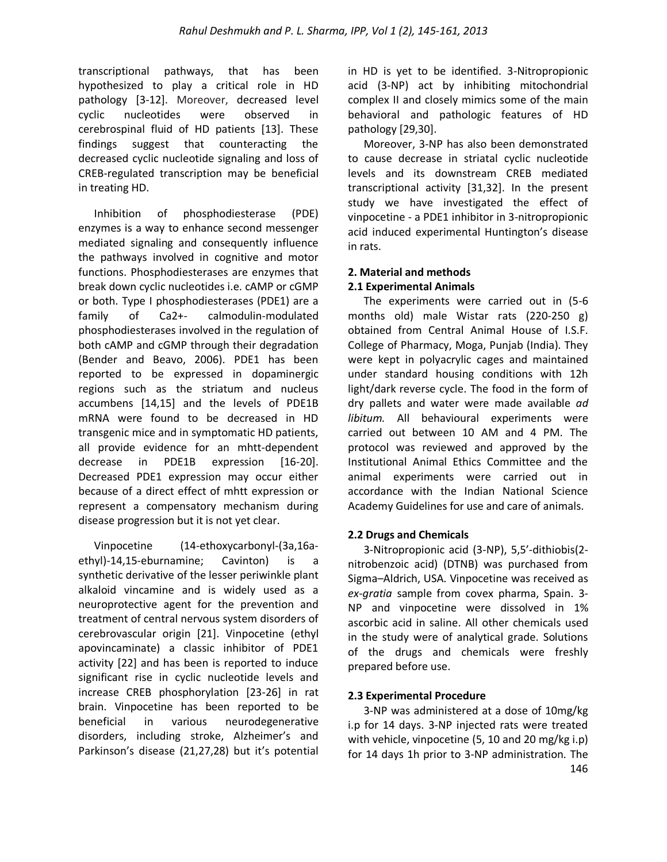transcriptional pathways, that has been hypothesized to play a critical role in HD pathology [3-12]. Moreover, decreased level cyclic nucleotides were observed in cerebrospinal fluid of HD patients [13]. These findings suggest that counteracting the decreased cyclic nucleotide signaling and loss of CREB-regulated transcription may be beneficial in treating HD.

Inhibition of phosphodiesterase (PDE) enzymes is a way to enhance second messenger mediated signaling and consequently influence the pathways involved in cognitive and motor functions. Phosphodiesterases are enzymes that break down cyclic nucleotides i.e. cAMP or cGMP or both. Type I phosphodiesterases (PDE1) are a family of Ca2+- calmodulin-modulated phosphodiesterases involved in the regulation of both cAMP and cGMP through their degradation (Bender and Beavo, 2006). PDE1 has been reported to be expressed in dopaminergic regions such as the striatum and nucleus accumbens [14,15] and the levels of PDE1B mRNA were found to be decreased in HD transgenic mice and in symptomatic HD patients, all provide evidence for an mhtt-dependent decrease in PDE1B expression [16-20]. Decreased PDE1 expression may occur either because of a direct effect of mhtt expression or represent a compensatory mechanism during disease progression but it is not yet clear.

Vinpocetine (14-ethoxycarbonyl-(3a,16aethyl)-14,15-eburnamine; Cavinton) is a synthetic derivative of the lesser periwinkle plant alkaloid vincamine and is widely used as a neuroprotective agent for the prevention and treatment of central nervous system disorders of cerebrovascular origin [21]. Vinpocetine (ethyl apovincaminate) a classic inhibitor of PDE1 activity [22] and has been is reported to induce significant rise in cyclic nucleotide levels and increase CREB phosphorylation [23-26] in rat brain. Vinpocetine has been reported to be beneficial in various neurodegenerative disorders, including stroke, Alzheimer's and Parkinson's disease (21,27,28) but it's potential

in HD is yet to be identified. 3-Nitropropionic acid (3-NP) act by inhibiting mitochondrial complex II and closely mimics some of the main behavioral and pathologic features of HD pathology [29,30].

Moreover, 3-NP has also been demonstrated to cause decrease in striatal cyclic nucleotide levels and its downstream CREB mediated transcriptional activity [31,32]. In the present study we have investigated the effect of vinpocetine - a PDE1 inhibitor in 3-nitropropionic acid induced experimental Huntington's disease in rats.

# **2. Material and methods**

### **2.1 Experimental Animals**

The experiments were carried out in (5-6 months old) male Wistar rats (220-250 g) obtained from Central Animal House of I.S.F. College of Pharmacy, Moga, Punjab (India). They were kept in polyacrylic cages and maintained under standard housing conditions with 12h light/dark reverse cycle. The food in the form of dry pallets and water were made available *ad libitum.* All behavioural experiments were carried out between 10 AM and 4 PM. The protocol was reviewed and approved by the Institutional Animal Ethics Committee and the animal experiments were carried out in accordance with the Indian National Science Academy Guidelines for use and care of animals.

### **2.2 Drugs and Chemicals**

3-Nitropropionic acid (3-NP), 5,5'-dithiobis(2 nitrobenzoic acid) (DTNB) was purchased from Sigma–Aldrich, USA. Vinpocetine was received as *ex-gratia* sample from covex pharma, Spain. 3- NP and vinpocetine were dissolved in 1% ascorbic acid in saline. All other chemicals used in the study were of analytical grade. Solutions of the drugs and chemicals were freshly prepared before use.

### **2.3 Experimental Procedure**

3-NP was administered at a dose of 10mg/kg i.p for 14 days. 3-NP injected rats were treated with vehicle, vinpocetine (5, 10 and 20 mg/kg i.p) for 14 days 1h prior to 3-NP administration. The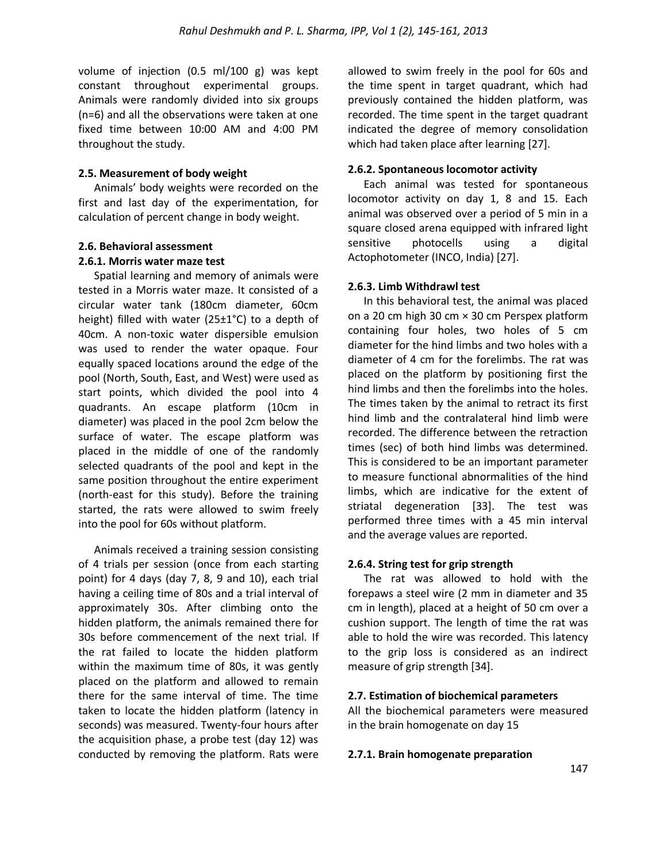volume of injection (0.5 ml/100 g) was kept constant throughout experimental groups. Animals were randomly divided into six groups (n=6) and all the observations were taken at one fixed time between 10:00 AM and 4:00 PM throughout the study.

#### **2.5. Measurement of body weight**

Animals' body weights were recorded on the first and last day of the experimentation, for calculation of percent change in body weight.

#### **2.6. Behavioral assessment**

#### **2.6.1. Morris water maze test**

Spatial learning and memory of animals were tested in a Morris water maze. It consisted of a circular water tank (180cm diameter, 60cm height) filled with water (25±1°C) to a depth of 40cm. A non-toxic water dispersible emulsion was used to render the water opaque. Four equally spaced locations around the edge of the pool (North, South, East, and West) were used as start points, which divided the pool into 4 quadrants. An escape platform (10cm in diameter) was placed in the pool 2cm below the surface of water. The escape platform was placed in the middle of one of the randomly selected quadrants of the pool and kept in the same position throughout the entire experiment (north-east for this study). Before the training started, the rats were allowed to swim freely into the pool for 60s without platform.

Animals received a training session consisting of 4 trials per session (once from each starting point) for 4 days (day 7, 8, 9 and 10), each trial having a ceiling time of 80s and a trial interval of approximately 30s. After climbing onto the hidden platform, the animals remained there for 30s before commencement of the next trial. If the rat failed to locate the hidden platform within the maximum time of 80s, it was gently placed on the platform and allowed to remain there for the same interval of time. The time taken to locate the hidden platform (latency in seconds) was measured. Twenty-four hours after the acquisition phase, a probe test (day 12) was conducted by removing the platform. Rats were

allowed to swim freely in the pool for 60s and the time spent in target quadrant, which had previously contained the hidden platform, was recorded. The time spent in the target quadrant indicated the degree of memory consolidation which had taken place after learning [27].

### **2.6.2. Spontaneous locomotor activity**

Each animal was tested for spontaneous locomotor activity on day 1, 8 and 15. Each animal was observed over a period of 5 min in a square closed arena equipped with infrared light sensitive photocells using a digital Actophotometer (INCO, India) [27].

### **2.6.3. Limb Withdrawl test**

In this behavioral test, the animal was placed on a 20 cm high 30 cm × 30 cm Perspex platform containing four holes, two holes of 5 cm diameter for the hind limbs and two holes with a diameter of 4 cm for the forelimbs. The rat was placed on the platform by positioning first the hind limbs and then the forelimbs into the holes. The times taken by the animal to retract its first hind limb and the contralateral hind limb were recorded. The difference between the retraction times (sec) of both hind limbs was determined. This is considered to be an important parameter to measure functional abnormalities of the hind limbs, which are indicative for the extent of striatal degeneration [33]. The test was performed three times with a 45 min interval and the average values are reported.

### **2.6.4. String test for grip strength**

The rat was allowed to hold with the forepaws a steel wire (2 mm in diameter and 35 cm in length), placed at a height of 50 cm over a cushion support. The length of time the rat was able to hold the wire was recorded. This latency to the grip loss is considered as an indirect measure of grip strength [34].

### **2.7. Estimation of biochemical parameters**

All the biochemical parameters were measured in the brain homogenate on day 15

#### **2.7.1. Brain homogenate preparation**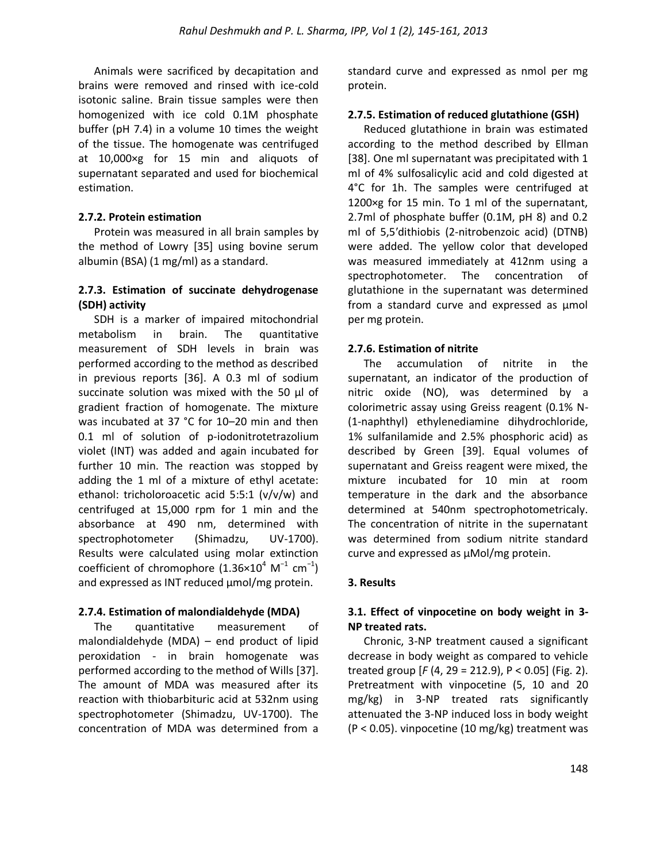Animals were sacrificed by decapitation and brains were removed and rinsed with ice-cold isotonic saline. Brain tissue samples were then homogenized with ice cold 0.1M phosphate buffer (pH 7.4) in a volume 10 times the weight of the tissue. The homogenate was centrifuged at 10,000×g for 15 min and aliquots of supernatant separated and used for biochemical estimation.

### **2.7.2. Protein estimation**

Protein was measured in all brain samples by the method of Lowry [35] using bovine serum albumin (BSA) (1 mg/ml) as a standard.

### **2.7.3. Estimation of succinate dehydrogenase (SDH) activity**

SDH is a marker of impaired mitochondrial metabolism in brain. The quantitative measurement of SDH levels in brain was performed according to the method as described in previous reports [36]. A 0.3 ml of sodium succinate solution was mixed with the 50 μl of gradient fraction of homogenate. The mixture was incubated at 37 °C for 10–20 min and then 0.1 ml of solution of p-iodonitrotetrazolium violet (INT) was added and again incubated for further 10 min. The reaction was stopped by adding the 1 ml of a mixture of ethyl acetate: ethanol: tricholoroacetic acid 5:5:1 (v/v/w) and centrifuged at 15,000 rpm for 1 min and the absorbance at 490 nm, determined with spectrophotometer (Shimadzu, UV-1700). Results were calculated using molar extinction coefficient of chromophore (1.36×10<sup>4</sup> M<sup>-1</sup> cm<sup>-1</sup>) and expressed as INT reduced µmol/mg protein.

## **2.7.4. Estimation of malondialdehyde (MDA)**

The quantitative measurement of malondialdehyde (MDA) – end product of lipid peroxidation - in brain homogenate was performed according to the method of Wills [37]. The amount of MDA was measured after its reaction with thiobarbituric acid at 532nm using spectrophotometer (Shimadzu, UV-1700). The concentration of MDA was determined from a standard curve and expressed as nmol per mg protein.

## **2.7.5. Estimation of reduced glutathione (GSH)**

Reduced glutathione in brain was estimated according to the method described by Ellman [38]. One ml supernatant was precipitated with 1 ml of 4% sulfosalicylic acid and cold digested at 4°C for 1h. The samples were centrifuged at 1200×g for 15 min. To 1 ml of the supernatant, 2.7ml of phosphate buffer (0.1M, pH 8) and 0.2 ml of 5,5′dithiobis (2-nitrobenzoic acid) (DTNB) were added. The yellow color that developed was measured immediately at 412nm using a spectrophotometer. The concentration of glutathione in the supernatant was determined from a standard curve and expressed as µmol per mg protein.

### **2.7.6. Estimation of nitrite**

The accumulation of nitrite in the supernatant, an indicator of the production of nitric oxide (NO), was determined by a colorimetric assay using Greiss reagent (0.1% N- (1-naphthyl) ethylenediamine dihydrochloride, 1% sulfanilamide and 2.5% phosphoric acid) as described by Green [39]. Equal volumes of supernatant and Greiss reagent were mixed, the mixture incubated for 10 min at room temperature in the dark and the absorbance determined at 540nm spectrophotometricaly. The concentration of nitrite in the supernatant was determined from sodium nitrite standard curve and expressed as µMol/mg protein.

### **3. Results**

### **3.1. Effect of vinpocetine on body weight in 3- NP treated rats.**

Chronic, 3-NP treatment caused a significant decrease in body weight as compared to vehicle treated group [*F* (4, 29 = 212.9), P < 0.05] (Fig. 2). Pretreatment with vinpocetine (5, 10 and 20 mg/kg) in 3-NP treated rats significantly attenuated the 3-NP induced loss in body weight (P < 0.05). vinpocetine (10 mg/kg) treatment was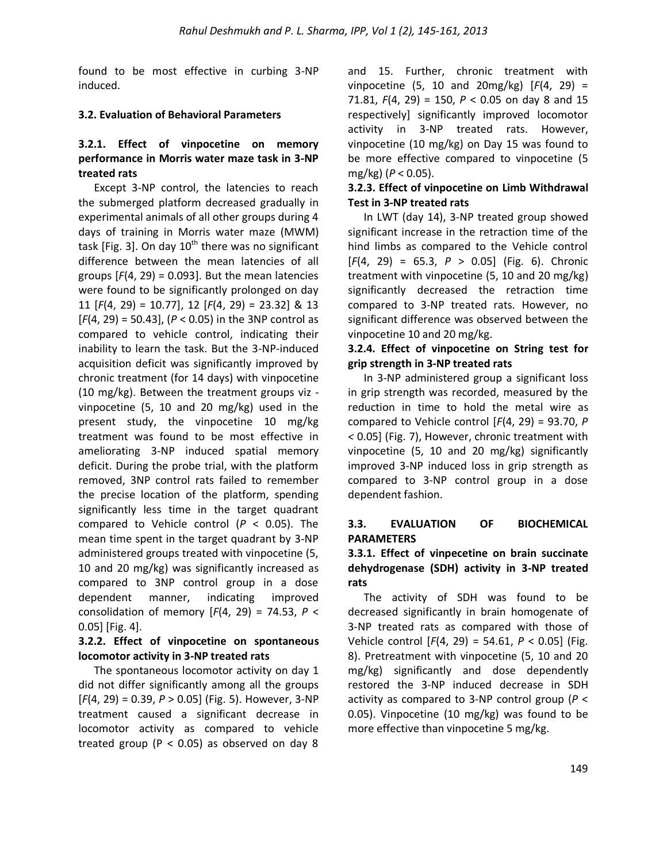found to be most effective in curbing 3-NP induced.

### **3.2. Evaluation of Behavioral Parameters**

## **3.2.1. Effect of vinpocetine on memory performance in Morris water maze task in 3-NP treated rats**

Except 3-NP control, the latencies to reach the submerged platform decreased gradually in experimental animals of all other groups during 4 days of training in Morris water maze (MWM) task [Fig. 3]. On day  $10^{th}$  there was no significant difference between the mean latencies of all groups  $[F(4, 29) = 0.093]$ . But the mean latencies were found to be significantly prolonged on day 11 [*F*(4, 29) = 10.77], 12 [*F*(4, 29) = 23.32] & 13 [*F*(4, 29) = 50.43], (*P* < 0.05) in the 3NP control as compared to vehicle control, indicating their inability to learn the task. But the 3-NP-induced acquisition deficit was significantly improved by chronic treatment (for 14 days) with vinpocetine (10 mg/kg). Between the treatment groups viz vinpocetine (5, 10 and 20 mg/kg) used in the present study, the vinpocetine 10 mg/kg treatment was found to be most effective in ameliorating 3-NP induced spatial memory deficit. During the probe trial, with the platform removed, 3NP control rats failed to remember the precise location of the platform, spending significantly less time in the target quadrant compared to Vehicle control (*P* < 0.05). The mean time spent in the target quadrant by 3-NP administered groups treated with vinpocetine (5, 10 and 20 mg/kg) was significantly increased as compared to 3NP control group in a dose dependent manner, indicating improved consolidation of memory [*F*(4, 29) = 74.53, *P* < 0.05] [Fig. 4].

# **3.2.2. Effect of vinpocetine on spontaneous locomotor activity in 3-NP treated rats**

The spontaneous locomotor activity on day 1 did not differ significantly among all the groups [*F*(4, 29) = 0.39, *P* > 0.05] (Fig. 5). However, 3-NP treatment caused a significant decrease in locomotor activity as compared to vehicle treated group ( $P < 0.05$ ) as observed on day 8

and 15. Further, chronic treatment with vinpocetine (5, 10 and 20mg/kg) [*F*(4, 29) = 71.81, *F*(4, 29) = 150, *P* < 0.05 on day 8 and 15 respectively] significantly improved locomotor activity in 3-NP treated rats. However, vinpocetine (10 mg/kg) on Day 15 was found to be more effective compared to vinpocetine (5 mg/kg) (*P* < 0.05).

## **3.2.3. Effect of vinpocetine on Limb Withdrawal Test in 3-NP treated rats**

In LWT (day 14), 3-NP treated group showed significant increase in the retraction time of the hind limbs as compared to the Vehicle control [*F*(4, 29) = 65.3, *P* > 0.05] (Fig. 6). Chronic treatment with vinpocetine (5, 10 and 20 mg/kg) significantly decreased the retraction time compared to 3-NP treated rats. However, no significant difference was observed between the vinpocetine 10 and 20 mg/kg.

### **3.2.4. Effect of vinpocetine on String test for grip strength in 3-NP treated rats**

In 3-NP administered group a significant loss in grip strength was recorded, measured by the reduction in time to hold the metal wire as compared to Vehicle control [*F*(4, 29) = 93.70, *P <* 0.05] (Fig. 7), However, chronic treatment with vinpocetine (5, 10 and 20 mg/kg) significantly improved 3-NP induced loss in grip strength as compared to 3-NP control group in a dose dependent fashion.

## **3.3. EVALUATION OF BIOCHEMICAL PARAMETERS**

## **3.3.1. Effect of vinpecetine on brain succinate dehydrogenase (SDH) activity in 3-NP treated rats**

The activity of SDH was found to be decreased significantly in brain homogenate of 3-NP treated rats as compared with those of Vehicle control [*F*(4, 29) = 54.61, *P* < 0.05] (Fig. 8). Pretreatment with vinpocetine (5, 10 and 20 mg/kg) significantly and dose dependently restored the 3-NP induced decrease in SDH activity as compared to 3-NP control group (*P* < 0.05). Vinpocetine (10 mg/kg) was found to be more effective than vinpocetine 5 mg/kg.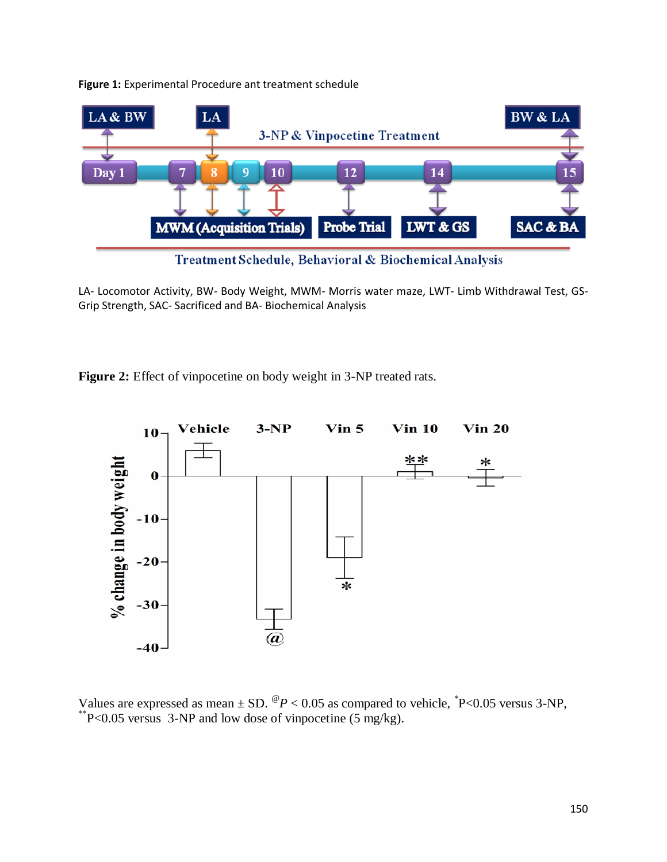

#### **Figure 1:** Experimental Procedure ant treatment schedule

Treatment Schedule, Behavioral & Biochemical Analysis

LA- Locomotor Activity, BW- Body Weight, MWM- Morris water maze, LWT- Limb Withdrawal Test, GS-Grip Strength, SAC- Sacrificed and BA- Biochemical Analysis

**Figure 2:** Effect of vinpocetine on body weight in 3-NP treated rats.



Values are expressed as mean  $\pm$  SD. <sup>@</sup> $P$  < 0.05 as compared to vehicle,  $^{*}P$  < 0.05 versus 3-NP, \*\*P<0.05 versus 3-NP and low dose of vinpocetine (5 mg/kg).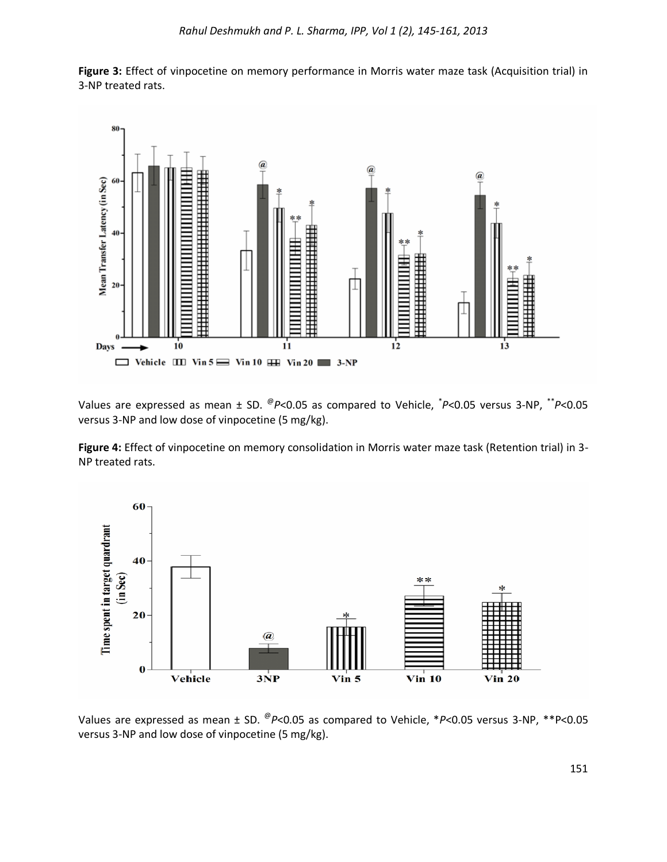

**Figure 3:** Effect of vinpocetine on memory performance in Morris water maze task (Acquisition trial) in 3-NP treated rats.

Values are expressed as mean  $\pm$  SD.  $^{\textcircled{\tiny op}}$ <0.05 as compared to Vehicle,  $^{\textcircled{\tiny \dag}}$ P<0.05 versus 3-NP,  $^{\textcircled{\tiny \dag}}$ P<0.05 versus 3-NP and low dose of vinpocetine (5 mg/kg).

**Figure 4:** Effect of vinpocetine on memory consolidation in Morris water maze task (Retention trial) in 3- NP treated rats.



Values are expressed as mean ± SD. <sup>@</sup>P<0.05 as compared to Vehicle, \*P<0.05 versus 3-NP, \*\*P<0.05 versus 3-NP and low dose of vinpocetine (5 mg/kg).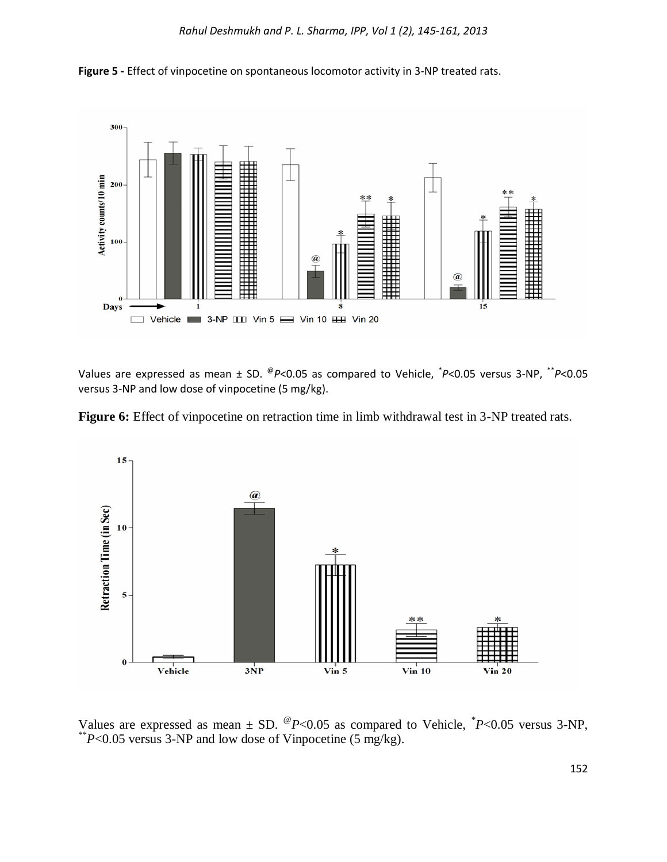



Values are expressed as mean  $\pm$  SD. <sup>@</sup>P<0.05 as compared to Vehicle, <sup>\*</sup>P<0.05 versus 3-NP, <sup>\*\*</sup>P<0.05 versus 3-NP and low dose of vinpocetine (5 mg/kg).





Values are expressed as mean  $\pm$  SD. <sup>@</sup>P<0.05 as compared to Vehicle,  $P$  <0.05 versus 3-NP, \*\**P*<0.05 versus 3-NP and low dose of Vinpocetine (5 mg/kg).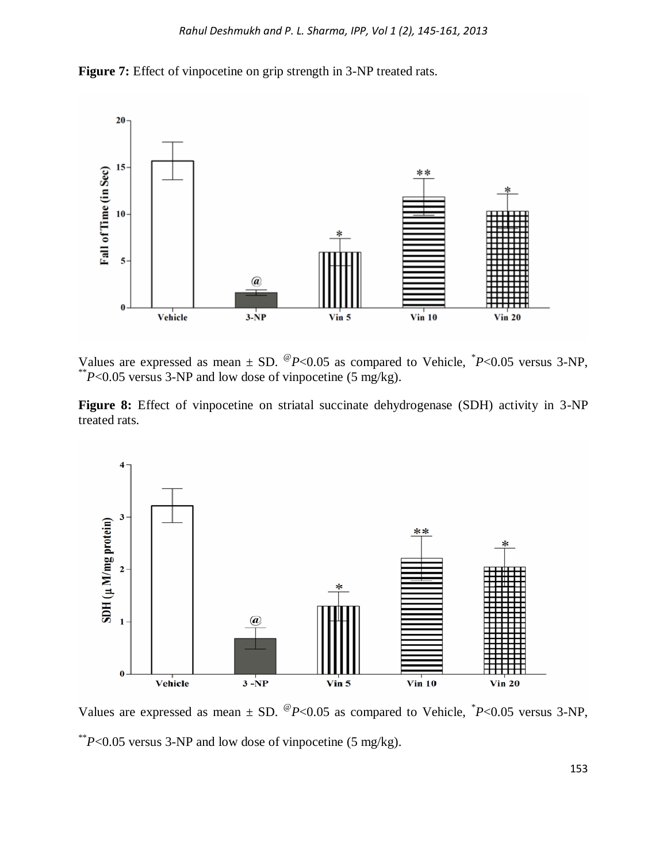**Figure 7:** Effect of vinpocetine on grip strength in 3-NP treated rats.



Values are expressed as mean  $\pm$  SD. <sup>@</sup>P<0.05 as compared to Vehicle,  $P$  <0.05 versus 3-NP, \*\**P*<0.05 versus 3-NP and low dose of vinpocetine (5 mg/kg).

Figure 8: Effect of vinpocetine on striatal succinate dehydrogenase (SDH) activity in 3-NP treated rats.



Values are expressed as mean  $\pm$  SD. <sup>@</sup>P<0.05 as compared to Vehicle,  $P$  <0.05 versus 3-NP, \*\**P*<0.05 versus 3-NP and low dose of vinpocetine (5 mg/kg).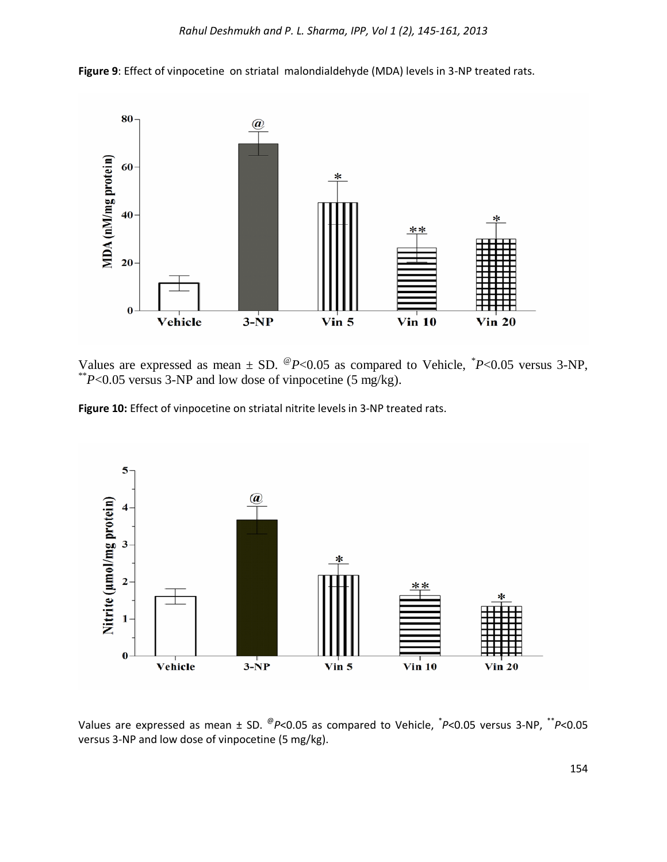

**Figure 9**: Effect of vinpocetine on striatal malondialdehyde (MDA) levels in 3-NP treated rats.

Values are expressed as mean  $\pm$  SD. <sup>@</sup>P<0.05 as compared to Vehicle,  $P$  <0.05 versus 3-NP, \*\* $P$ <0.05 versus 3-NP and low dose of vinpocetine (5 mg/kg).

**Figure 10:** Effect of vinpocetine on striatal nitrite levels in 3-NP treated rats.



Values are expressed as mean  $\pm$  SD. <sup>@</sup>P<0.05 as compared to Vehicle, <sup>\*</sup>P<0.05 versus 3-NP, <sup>\*\*</sup>P<0.05 versus 3-NP and low dose of vinpocetine (5 mg/kg).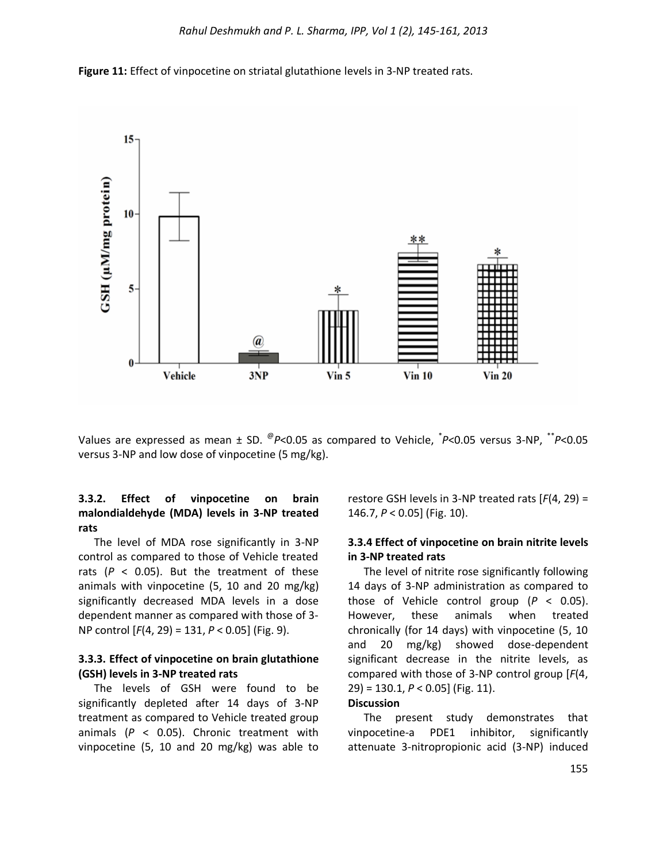



Values are expressed as mean  $\pm$  SD.  $^{\textcircled{\tiny op}}$ <0.05 as compared to Vehicle,  $^{\textcircled{\tiny \dag}}$ P<0.05 versus 3-NP,  $^{\textcircled{\tiny \dag}}$ P<0.05 versus 3-NP and low dose of vinpocetine (5 mg/kg).

### **3.3.2. Effect of vinpocetine on brain malondialdehyde (MDA) levels in 3-NP treated rats**

The level of MDA rose significantly in 3-NP control as compared to those of Vehicle treated rats ( $P < 0.05$ ). But the treatment of these animals with vinpocetine (5, 10 and 20 mg/kg) significantly decreased MDA levels in a dose dependent manner as compared with those of 3- NP control [*F*(4, 29) = 131, *P* < 0.05] (Fig. 9).

### **3.3.3. Effect of vinpocetine on brain glutathione (GSH) levels in 3-NP treated rats**

The levels of GSH were found to be significantly depleted after 14 days of 3-NP treatment as compared to Vehicle treated group animals (*P* < 0.05). Chronic treatment with vinpocetine (5, 10 and 20 mg/kg) was able to restore GSH levels in 3-NP treated rats [*F*(4, 29) = 146.7, *P* < 0.05] (Fig. 10).

#### **3.3.4 Effect of vinpocetine on brain nitrite levels in 3-NP treated rats**

The level of nitrite rose significantly following 14 days of 3-NP administration as compared to those of Vehicle control group (*P* < 0.05). However, these animals when treated chronically (for 14 days) with vinpocetine (5, 10 and 20 mg/kg) showed dose-dependent significant decrease in the nitrite levels, as compared with those of 3-NP control group [*F*(4, 29) = 130.1, *P* < 0.05] (Fig. 11).

#### **Discussion**

The present study demonstrates that vinpocetine-a PDE1 inhibitor, significantly attenuate 3-nitropropionic acid (3-NP) induced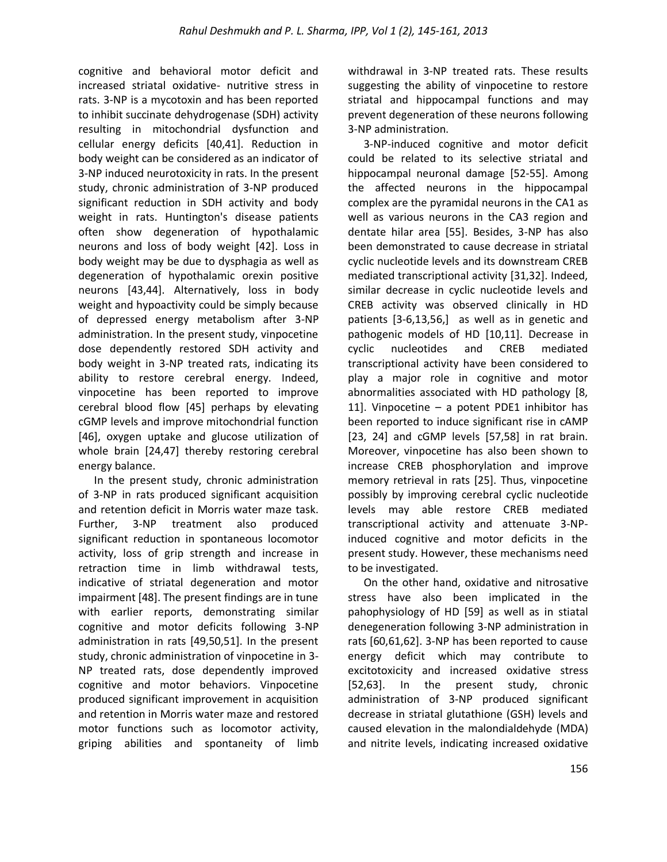cognitive and behavioral motor deficit and increased striatal oxidative- nutritive stress in rats. 3-NP is a mycotoxin and has been reported to inhibit succinate dehydrogenase (SDH) activity resulting in mitochondrial dysfunction and cellular energy deficits [40,41]. Reduction in body weight can be considered as an indicator of 3-NP induced neurotoxicity in rats. In the present study, chronic administration of 3-NP produced significant reduction in SDH activity and body weight in rats. Huntington's disease patients often show degeneration of hypothalamic neurons and loss of body weight [42]. Loss in body weight may be due to dysphagia as well as degeneration of hypothalamic orexin positive neurons [43,44]. Alternatively, loss in body weight and hypoactivity could be simply because of depressed energy metabolism after 3-NP administration. In the present study, vinpocetine dose dependently restored SDH activity and body weight in 3-NP treated rats, indicating its ability to restore cerebral energy. Indeed, vinpocetine has been reported to improve cerebral blood flow [45] perhaps by elevating cGMP levels and improve mitochondrial function [46], oxygen uptake and glucose utilization of whole brain [24,47] thereby restoring cerebral energy balance.

In the present study, chronic administration of 3-NP in rats produced significant acquisition and retention deficit in Morris water maze task. Further, 3-NP treatment also produced significant reduction in spontaneous locomotor activity, loss of grip strength and increase in retraction time in limb withdrawal tests, indicative of striatal degeneration and motor impairment [48]. The present findings are in tune with earlier reports, demonstrating similar cognitive and motor deficits following 3-NP administration in rats [49,50,51]. In the present study, chronic administration of vinpocetine in 3- NP treated rats, dose dependently improved cognitive and motor behaviors. Vinpocetine produced significant improvement in acquisition and retention in Morris water maze and restored motor functions such as locomotor activity, griping abilities and spontaneity of limb

withdrawal in 3-NP treated rats. These results suggesting the ability of vinpocetine to restore striatal and hippocampal functions and may prevent degeneration of these neurons following 3-NP administration.

3-NP-induced cognitive and motor deficit could be related to its selective striatal and hippocampal neuronal damage [52-55]. Among the affected neurons in the hippocampal complex are the pyramidal neurons in the CA1 as well as various neurons in the CA3 region and dentate hilar area [55]. Besides, 3-NP has also been demonstrated to cause decrease in striatal cyclic nucleotide levels and its downstream CREB mediated transcriptional activity [31,32]. Indeed, similar decrease in cyclic nucleotide levels and CREB activity was observed clinically in HD patients [3-6,13,56,] as well as in genetic and pathogenic models of HD [10,11]. Decrease in cyclic nucleotides and CREB mediated transcriptional activity have been considered to play a major role in cognitive and motor abnormalities associated with HD pathology [8, 11]. Vinpocetine – a potent PDE1 inhibitor has been reported to induce significant rise in cAMP [23, 24] and cGMP levels [57,58] in rat brain. Moreover, vinpocetine has also been shown to increase CREB phosphorylation and improve memory retrieval in rats [25]. Thus, vinpocetine possibly by improving cerebral cyclic nucleotide levels may able restore CREB mediated transcriptional activity and attenuate 3-NPinduced cognitive and motor deficits in the present study. However, these mechanisms need to be investigated.

On the other hand, oxidative and nitrosative stress have also been implicated in the pahophysiology of HD [59] as well as in stiatal denegeneration following 3-NP administration in rats [60,61,62]. 3-NP has been reported to cause energy deficit which may contribute to excitotoxicity and increased oxidative stress [52,63]. In the present study, chronic administration of 3-NP produced significant decrease in striatal glutathione (GSH) levels and caused elevation in the malondialdehyde (MDA) and nitrite levels, indicating increased oxidative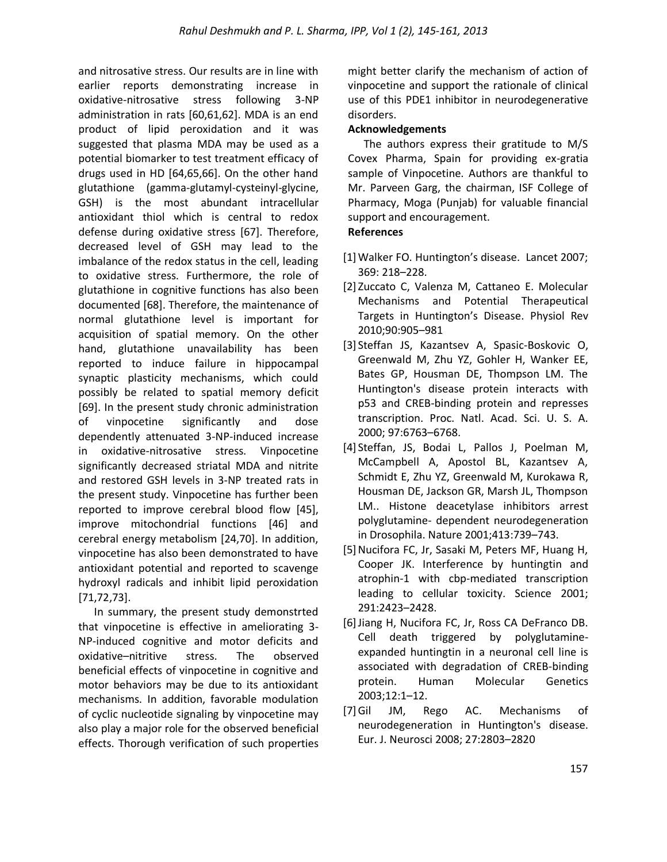and nitrosative stress. Our results are in line with earlier reports demonstrating increase in oxidative-nitrosative stress following 3-NP administration in rats [60,61,62]. MDA is an end product of lipid peroxidation and it was suggested that plasma MDA may be used as a potential biomarker to test treatment efficacy of drugs used in HD [64,65,66]. On the other hand glutathione (gamma-glutamyl-cysteinyl-glycine, GSH) is the most abundant intracellular antioxidant thiol which is central to redox defense during oxidative stress [67]. Therefore, decreased level of GSH may lead to the imbalance of the redox status in the cell, leading to oxidative stress. Furthermore, the role of glutathione in cognitive functions has also been documented [68]. Therefore, the maintenance of normal glutathione level is important for acquisition of spatial memory. On the other hand, glutathione unavailability has been reported to induce failure in hippocampal synaptic plasticity mechanisms, which could possibly be related to spatial memory deficit [69]. In the present study chronic administration of vinpocetine significantly and dose dependently attenuated 3-NP-induced increase in oxidative-nitrosative stress. Vinpocetine significantly decreased striatal MDA and nitrite and restored GSH levels in 3-NP treated rats in the present study. Vinpocetine has further been reported to improve cerebral blood flow [45], improve mitochondrial functions [46] and cerebral energy metabolism [24,70]. In addition, vinpocetine has also been demonstrated to have antioxidant potential and reported to scavenge hydroxyl radicals and inhibit lipid peroxidation [71,72,73].

In summary, the present study demonstrted that vinpocetine is effective in ameliorating 3- NP-induced cognitive and motor deficits and oxidative–nitritive stress. The observed beneficial effects of vinpocetine in cognitive and motor behaviors may be due to its antioxidant mechanisms. In addition, favorable modulation of cyclic nucleotide signaling by vinpocetine may also play a major role for the observed beneficial effects. Thorough verification of such properties

might better clarify the mechanism of action of vinpocetine and support the rationale of clinical use of this PDE1 inhibitor in neurodegenerative disorders.

### **Acknowledgements**

The authors express their gratitude to M/S Covex Pharma, Spain for providing ex-gratia sample of Vinpocetine. Authors are thankful to Mr. Parveen Garg, the chairman, ISF College of Pharmacy, Moga (Punjab) for valuable financial support and encouragement.

### **References**

- [1]Walker FO. Huntington's disease. Lancet 2007; 369: 218–228.
- [2] Zuccato C, Valenza M, Cattaneo E. Molecular Mechanisms and Potential Therapeutical Targets in Huntington's Disease. Physiol Rev 2010;90:905–981
- [3] Steffan JS, Kazantsev A, Spasic-Boskovic O, Greenwald M, Zhu YZ, Gohler H, Wanker EE, Bates GP, Housman DE, Thompson LM. The Huntington's disease protein interacts with p53 and CREB-binding protein and represses transcription. Proc. Natl. Acad. Sci. U. S. A. 2000; 97:6763–6768.
- [4] Steffan, JS, Bodai L, Pallos J, Poelman M, McCampbell A, Apostol BL, Kazantsev A, Schmidt E, Zhu YZ, Greenwald M, Kurokawa R, Housman DE, Jackson GR, Marsh JL, Thompson LM.. Histone deacetylase inhibitors arrest polyglutamine- dependent neurodegeneration in Drosophila. Nature 2001;413:739–743.
- [5] Nucifora FC, Jr, Sasaki M, Peters MF, Huang H, Cooper JK. Interference by huntingtin and atrophin-1 with cbp-mediated transcription leading to cellular toxicity. Science 2001; 291:2423–2428.
- [6]Jiang H, Nucifora FC, Jr, Ross CA DeFranco DB. Cell death triggered by polyglutamineexpanded huntingtin in a neuronal cell line is associated with degradation of CREB-binding protein. Human Molecular Genetics 2003;12:1–12.
- [7]Gil JM, Rego AC. Mechanisms of neurodegeneration in Huntington's disease. Eur. J. Neurosci 2008; 27:2803–2820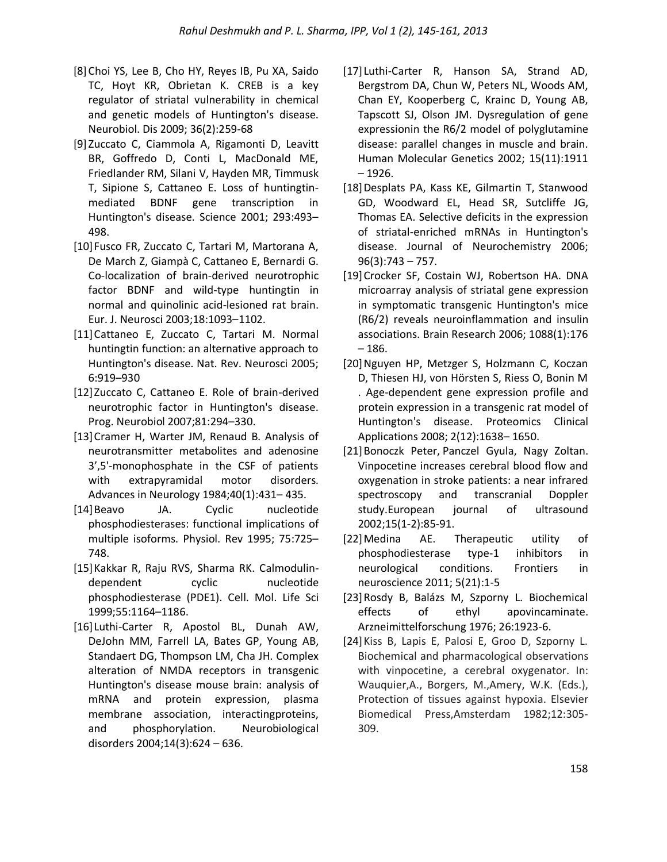- [8] Choi YS, Lee B, Cho HY, Reyes IB, Pu XA, Saido TC, Hoyt KR, Obrietan K. CREB is a key regulator of striatal vulnerability in chemical and genetic models of Huntington's disease. Neurobiol. Dis 2009; 36(2):259-68
- [9] Zuccato C, Ciammola A, Rigamonti D, Leavitt BR, Goffredo D, Conti L, MacDonald ME, Friedlander RM, Silani V, Hayden MR, Timmusk T, Sipione S, Cattaneo E. Loss of huntingtinmediated BDNF gene transcription in Huntington's disease. Science 2001; 293:493– 498.
- [10]Fusco FR, Zuccato C, Tartari M, Martorana A, De March Z, Giampà C, Cattaneo E, Bernardi G. Co-localization of brain-derived neurotrophic factor BDNF and wild-type huntingtin in normal and quinolinic acid-lesioned rat brain. Eur. J. Neurosci 2003;18:1093–1102.
- [11]Cattaneo E, Zuccato C, Tartari M. Normal huntingtin function: an alternative approach to Huntington's disease. Nat. Rev. Neurosci 2005; 6:919–930
- [12]Zuccato C, Cattaneo E. Role of brain-derived neurotrophic factor in Huntington's disease. Prog. Neurobiol 2007;81:294–330.
- [13] Cramer H, Warter JM, Renaud B. Analysis of neurotransmitter metabolites and adenosine 3',5'-monophosphate in the CSF of patients with extrapyramidal motor disorders. Advances in Neurology 1984;40(1):431– 435.
- [14]Beavo JA. Cyclic nucleotide phosphodiesterases: functional implications of multiple isoforms. Physiol. Rev 1995; 75:725– 748.
- [15]Kakkar R, Raju RVS, Sharma RK. Calmodulindependent cyclic nucleotide phosphodiesterase (PDE1). Cell. Mol. Life Sci 1999;55:1164–1186.
- [16] Luthi-Carter R, Apostol BL, Dunah AW, DeJohn MM, Farrell LA, Bates GP, Young AB, Standaert DG, Thompson LM, Cha JH. Complex alteration of NMDA receptors in transgenic Huntington's disease mouse brain: analysis of mRNA and protein expression, plasma membrane association, interactingproteins, and phosphorylation. Neurobiological disorders 2004;14(3):624 – 636.
- [17] Luthi-Carter R, Hanson SA, Strand AD, Bergstrom DA, Chun W, Peters NL, Woods AM, Chan EY, Kooperberg C, Krainc D, Young AB, Tapscott SJ, Olson JM. Dysregulation of gene expressionin the R6/2 model of polyglutamine disease: parallel changes in muscle and brain. Human Molecular Genetics 2002; 15(11):1911 – 1926.
- [18]Desplats PA, Kass KE, Gilmartin T, Stanwood GD, Woodward EL, Head SR, Sutcliffe JG, Thomas EA. Selective deficits in the expression of striatal-enriched mRNAs in Huntington's disease. Journal of Neurochemistry 2006; 96(3):743 – 757.
- [19]Crocker SF, Costain WJ, Robertson HA. DNA microarray analysis of striatal gene expression in symptomatic transgenic Huntington's mice (R6/2) reveals neuroinflammation and insulin associations. Brain Research 2006; 1088(1):176 – 186.
- [20]Nguyen HP, Metzger S, Holzmann C, Koczan D, Thiesen HJ, von Hörsten S, Riess O, Bonin M . Age-dependent gene expression profile and protein expression in a transgenic rat model of Huntington's disease. Proteomics Clinical Applications 2008; 2(12):1638– 1650.
- [21]Bonoczk Peter, Panczel Gyula, Nagy Zoltan. Vinpocetine increases cerebral blood flow and oxygenation in stroke patients: a near infrared spectroscopy and transcranial Doppler study.European journal of ultrasound 2002;15(1-2):85-91.
- [22]Medina AE. Therapeutic utility of phosphodiesterase type-1 inhibitors in neurological conditions. Frontiers in neuroscience 2011; 5(21):1-5
- [23]Rosdy B, Balázs M, Szporny L. Biochemical effects of ethyl apovincaminate. Arzneimittelforschung 1976; 26:1923-6.
- [24]Kiss B, Lapis E, Palosi E, Groo D, Szporny L. Biochemical and pharmacological observations with vinpocetine, a cerebral oxygenator. In: Wauquier,A., Borgers, M.,Amery, W.K. (Eds.), Protection of tissues against hypoxia. Elsevier Biomedical Press,Amsterdam 1982;12:305- 309.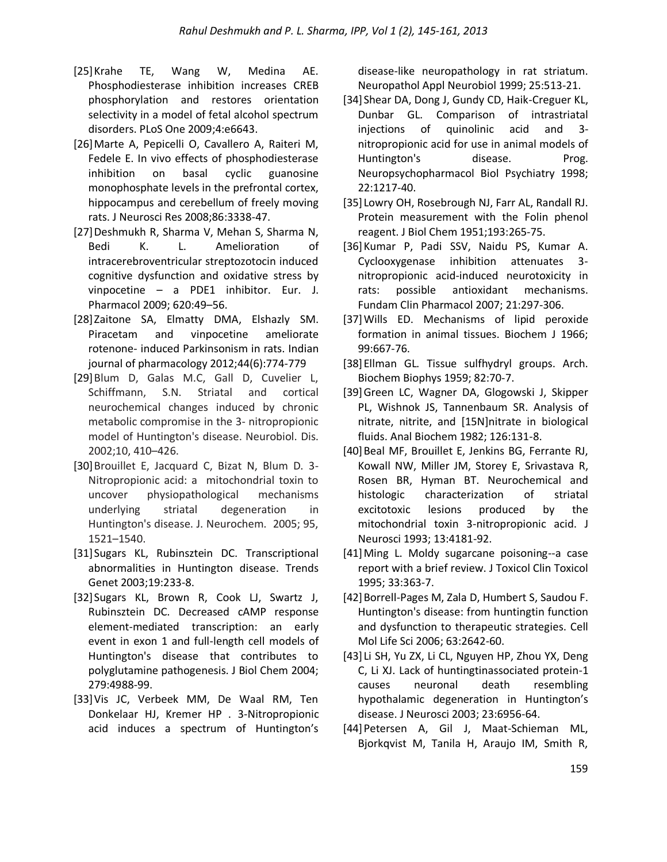- [25]Krahe TE, Wang W, Medina AE. Phosphodiesterase inhibition increases CREB phosphorylation and restores orientation selectivity in a model of fetal alcohol spectrum disorders. PLoS One 2009;4:e6643.
- [26]Marte A, Pepicelli O, Cavallero A, Raiteri M, Fedele E. In vivo effects of phosphodiesterase inhibition on basal cyclic guanosine monophosphate levels in the prefrontal cortex, hippocampus and cerebellum of freely moving rats. J Neurosci Res 2008;86:3338-47.
- [27]Deshmukh R, Sharma V, Mehan S, Sharma N, Bedi K. L. Amelioration of intracerebroventricular streptozotocin induced cognitive dysfunction and oxidative stress by vinpocetine – a PDE1 inhibitor. Eur. J. Pharmacol 2009; 620:49–56.
- [28]Zaitone SA, Elmatty DMA, Elshazly SM. Piracetam and vinpocetine ameliorate rotenone- induced Parkinsonism in rats. Indian journal of pharmacology 2012;44(6):774-779
- [29]Blum D, Galas M.C, Gall D, Cuvelier L, Schiffmann, S.N. Striatal and cortical neurochemical changes induced by chronic metabolic compromise in the 3- nitropropionic model of Huntington's disease. Neurobiol. Dis. 2002;10, 410–426.
- [30] Brouillet E, Jacquard C, Bizat N, Blum D. 3-Nitropropionic acid: a mitochondrial toxin to uncover physiopathological mechanisms underlying striatal degeneration in Huntington's disease. J. Neurochem. 2005; 95, 1521–1540.
- [31]Sugars KL, Rubinsztein DC. Transcriptional abnormalities in Huntington disease. Trends Genet 2003;19:233-8.
- [32]Sugars KL, Brown R, Cook LJ, Swartz J, Rubinsztein DC. Decreased cAMP response element-mediated transcription: an early event in exon 1 and full-length cell models of Huntington's disease that contributes to polyglutamine pathogenesis. J Biol Chem 2004; 279:4988-99.
- [33]Vis JC, Verbeek MM, De Waal RM, Ten Donkelaar HJ, Kremer HP . 3-Nitropropionic acid induces a spectrum of Huntington's

disease-like neuropathology in rat striatum. Neuropathol Appl Neurobiol 1999; 25:513-21.

- [34]Shear DA, Dong J, Gundy CD, Haik-Creguer KL, Dunbar GL. Comparison of intrastriatal injections of quinolinic acid and 3 nitropropionic acid for use in animal models of Huntington's disease. Prog. Neuropsychopharmacol Biol Psychiatry 1998; 22:1217-40.
- [35] Lowry OH, Rosebrough NJ, Farr AL, Randall RJ. Protein measurement with the Folin phenol reagent. J Biol Chem 1951;193:265-75.
- [36]Kumar P, Padi SSV, Naidu PS, Kumar A. Cyclooxygenase inhibition attenuates 3 nitropropionic acid-induced neurotoxicity in rats: possible antioxidant mechanisms. Fundam Clin Pharmacol 2007; 21:297-306.
- [37] Wills ED. Mechanisms of lipid peroxide formation in animal tissues. Biochem J 1966; 99:667-76.
- [38]Ellman GL. Tissue sulfhydryl groups. Arch. Biochem Biophys 1959; 82:70-7.
- [39]Green LC, Wagner DA, Glogowski J, Skipper PL, Wishnok JS, Tannenbaum SR. Analysis of nitrate, nitrite, and [15N]nitrate in biological fluids. Anal Biochem 1982; 126:131-8.
- [40] Beal MF, Brouillet E, Jenkins BG, Ferrante RJ, Kowall NW, Miller JM, Storey E, Srivastava R, Rosen BR, Hyman BT. Neurochemical and histologic characterization of striatal excitotoxic lesions produced by the mitochondrial toxin 3-nitropropionic acid. J Neurosci 1993; 13:4181-92.
- [41]Ming L. Moldy sugarcane poisoning--a case report with a brief review. J Toxicol Clin Toxicol 1995; 33:363-7.
- [42]Borrell-Pages M, Zala D, Humbert S, Saudou F. Huntington's disease: from huntingtin function and dysfunction to therapeutic strategies. Cell Mol Life Sci 2006; 63:2642-60.
- [43] Li SH, Yu ZX, Li CL, Nguyen HP, Zhou YX, Deng C, Li XJ. Lack of huntingtinassociated protein-1 causes neuronal death resembling hypothalamic degeneration in Huntington's disease. J Neurosci 2003; 23:6956-64.
- [44]Petersen A, Gil J, Maat-Schieman ML, Bjorkqvist M, Tanila H, Araujo IM, Smith R,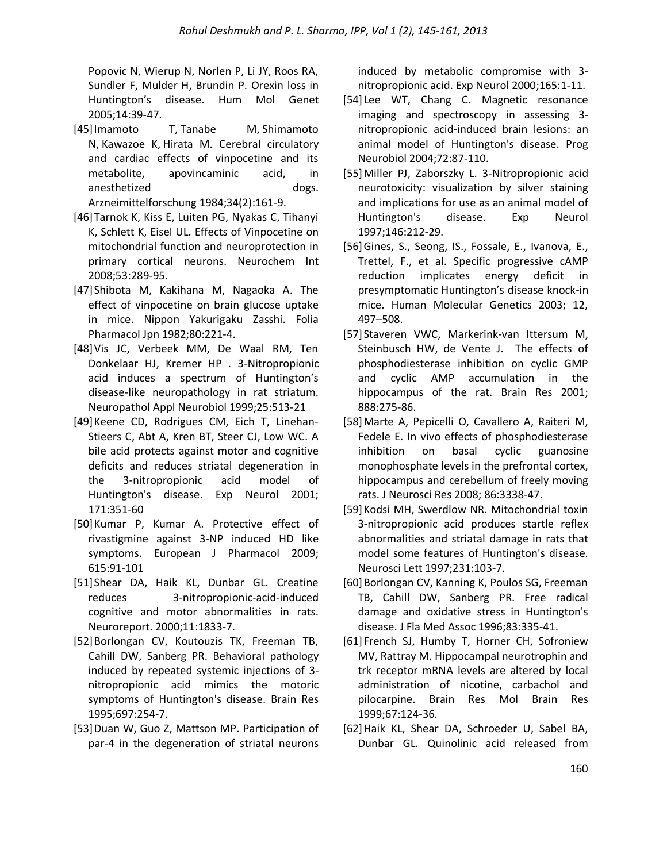Popovic N, Wierup N, Norlen P, Li JY, Roos RA, Sundler F, Mulder H, Brundin P. Orexin loss in Huntington's disease. Hum Mol Genet 2005;14:39-47.

- [45[\]Imamoto T,](http://www.ncbi.nlm.nih.gov/pubmed?term=Imamoto%20T%5BAuthor%5D&cauthor=true&cauthor_uid=6539108) [Tanabe M,](http://www.ncbi.nlm.nih.gov/pubmed?term=Tanabe%20M%5BAuthor%5D&cauthor=true&cauthor_uid=6539108) [Shimamoto](http://www.ncbi.nlm.nih.gov/pubmed?term=Shimamoto%20N%5BAuthor%5D&cauthor=true&cauthor_uid=6539108)  [N,](http://www.ncbi.nlm.nih.gov/pubmed?term=Shimamoto%20N%5BAuthor%5D&cauthor=true&cauthor_uid=6539108) [Kawazoe K,](http://www.ncbi.nlm.nih.gov/pubmed?term=Kawazoe%20K%5BAuthor%5D&cauthor=true&cauthor_uid=6539108) [Hirata M.](http://www.ncbi.nlm.nih.gov/pubmed?term=Hirata%20M%5BAuthor%5D&cauthor=true&cauthor_uid=6539108) Cerebral circulatory and cardiac effects of vinpocetine and its metabolite, apovincaminic acid, in anesthetized dogs. [Arzneimittelforschung](http://www.ncbi.nlm.nih.gov/pubmed/6539108) 1984;34(2):161-9.
- [46]Tarnok K, Kiss E, Luiten PG, Nyakas C, Tihanyi K, Schlett K, Eisel UL. Effects of Vinpocetine on mitochondrial function and neuroprotection in primary cortical neurons. Neurochem Int 2008;53:289-95.
- [47]Shibota M, Kakihana M, Nagaoka A. The effect of vinpocetine on brain glucose uptake in mice. Nippon Yakurigaku Zasshi. Folia Pharmacol Jpn 1982;80:221-4.
- [48]Vis JC, Verbeek MM, De Waal RM, Ten Donkelaar HJ, Kremer HP . 3-Nitropropionic acid induces a spectrum of Huntington's disease-like neuropathology in rat striatum. Neuropathol Appl Neurobiol 1999;25:513-21
- [49]Keene CD, Rodrigues CM, Eich T, Linehan-Stieers C, Abt A, Kren BT, Steer CJ, Low WC. A bile acid protects against motor and cognitive deficits and reduces striatal degeneration in the 3-nitropropionic acid model of Huntington's disease. Exp Neurol 2001; 171:351-60
- [50]Kumar P, Kumar A. Protective effect of rivastigmine against 3-NP induced HD like symptoms. European J Pharmacol 2009; 615:91-101
- [51]Shear DA, Haik KL, Dunbar GL. Creatine reduces 3-nitropropionic-acid-induced cognitive and motor abnormalities in rats. Neuroreport. 2000;11:1833-7.
- [52] Borlongan CV, Koutouzis TK, Freeman TB, Cahill DW, Sanberg PR. Behavioral pathology induced by repeated systemic injections of 3 nitropropionic acid mimics the motoric symptoms of Huntington's disease. Brain Res 1995;697:254-7.
- [53]Duan W, Guo Z, Mattson MP. Participation of par-4 in the degeneration of striatal neurons

induced by metabolic compromise with 3 nitropropionic acid. Exp Neurol 2000;165:1-11.

- [54] Lee WT, Chang C. Magnetic resonance imaging and spectroscopy in assessing 3 nitropropionic acid-induced brain lesions: an animal model of Huntington's disease. Prog Neurobiol 2004;72:87-110.
- [55]Miller PJ, Zaborszky L. 3-Nitropropionic acid neurotoxicity: visualization by silver staining and implications for use as an animal model of Huntington's disease. Exp Neurol 1997;146:212-29.
- [56]Gines, S., Seong, IS., Fossale, E., Ivanova, E., Trettel, F., et al. Specific progressive cAMP reduction implicates energy deficit in presymptomatic Huntington's disease knock-in mice. Human Molecular Genetics 2003; 12, 497–508.
- [57] Staveren VWC, Markerink-van Ittersum M, Steinbusch HW, de Vente J. The effects of phosphodiesterase inhibition on cyclic GMP and cyclic AMP accumulation in the hippocampus of the rat. Brain Res 2001; 888:275-86.
- [58]Marte A, Pepicelli O, Cavallero A, Raiteri M, Fedele E. In vivo effects of phosphodiesterase inhibition on basal cyclic guanosine monophosphate levels in the prefrontal cortex, hippocampus and cerebellum of freely moving rats. J Neurosci Res 2008; 86:3338-47.
- [59]Kodsi MH, Swerdlow NR. Mitochondrial toxin 3-nitropropionic acid produces startle reflex abnormalities and striatal damage in rats that model some features of Huntington's disease. Neurosci Lett 1997;231:103-7.
- [60] Borlongan CV, Kanning K, Poulos SG, Freeman TB, Cahill DW, Sanberg PR. Free radical damage and oxidative stress in Huntington's disease. J Fla Med Assoc 1996;83:335-41.
- [61] French SJ, Humby T, Horner CH, Sofroniew MV, Rattray M. Hippocampal neurotrophin and trk receptor mRNA levels are altered by local administration of nicotine, carbachol and pilocarpine. Brain Res Mol Brain Res 1999;67:124-36.
- [62]Haik KL, Shear DA, Schroeder U, Sabel BA, Dunbar GL. Quinolinic acid released from